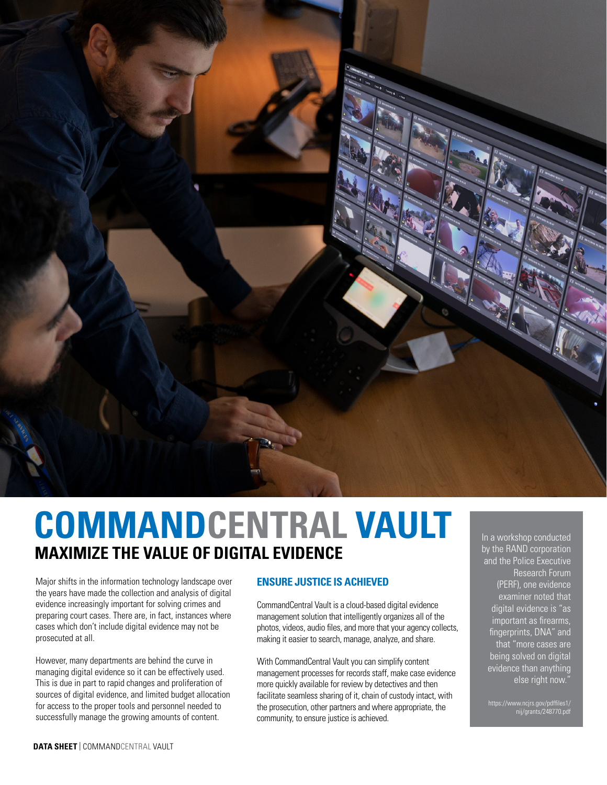

# **COMMANDCENTRAL VAULT MAXIMIZE THE VALUE OF DIGITAL EVIDENCE**

Major shifts in the information technology landscape over the years have made the collection and analysis of digital evidence increasingly important for solving crimes and preparing court cases. There are, in fact, instances where cases which don't include digital evidence may not be prosecuted at all.

However, many departments are behind the curve in managing digital evidence so it can be effectively used. This is due in part to rapid changes and proliferation of sources of digital evidence, and limited budget allocation for access to the proper tools and personnel needed to successfully manage the growing amounts of content.

# **ENSURE JUSTICE IS ACHIEVED**

CommandCentral Vault is a cloud-based digital evidence management solution that intelligently organizes all of the photos, videos, audio files, and more that your agency collects, making it easier to search, manage, analyze, and share.

With CommandCentral Vault you can simplify content management processes for records staff, make case evidence more quickly available for review by detectives and then facilitate seamless sharing of it, chain of custody intact, with the prosecution, other partners and where appropriate, the community, to ensure justice is achieved.

In a workshop conducted by the RAND corporation and the Police Executive Research Forum (PERF), one evidence examiner noted that digital evidence is "as important as firearms, fingerprints, DNA" and that "more cases are being solved on digital evidence than anything else right now."

https://www.ncjrs.gov/pdffiles1/ nij/grants/248770.pdf